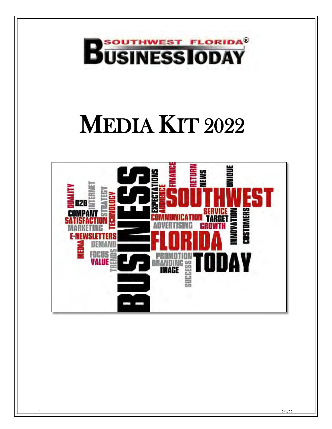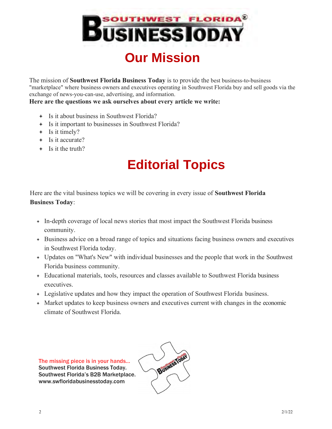

The mission of **Southwest Florida Business Today** is to provide the best business-to-business "marketplace" where business owners and executives operating in Southwest Florida buy and sell goods via the exchange of news-you-can-use, advertising, and information.

#### **Here are the questions we ask ourselves about every article we write:**

- Is it about business in Southwest Florida?
- Is it important to businesses in Southwest Florida?
- + Is it timely?
- + Is it accurate?
- $\div$  Is it the truth?

### **Editorial Topics**

Here are the vital business topics we will be covering in every issue of **Southwest Florida Business Today**:

- In-depth coverage of local news stories that most impact the Southwest Florida business community.
- $\div$  Business advice on a broad range of topics and situations facing business owners and executives in Southwest Florida today.
- Updates on "What's New" with individual businesses and the people that work in the Southwest Florida business community.
- Educational materials, tools, resources and classes available to Southwest Florida business executives.
- Legislative updates and how they impact the operation of Southwest Florida business.
- Market updates to keep business owners and executives current with changes in the economic climate of Southwest Florida.

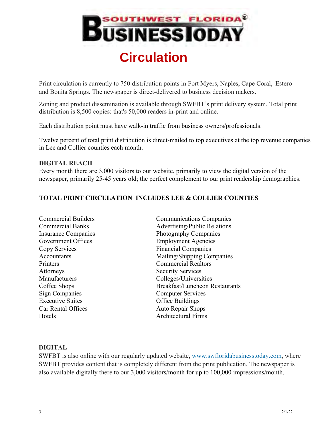

Print circulation is currently to 750 distribution points in Fort Myers, Naples, Cape Coral, Estero and Bonita Springs. The newspaper is direct-delivered to business decision makers.

Zoning and product dissemination is available through SWFBT's print delivery system. Total print distribution is 8,500 copies: that's 50,000 readers in-print and online.

Each distribution point must have walk-in traffic from business owners/professionals.

Twelve percent of total print distribution is direct-mailed to top executives at the top revenue companies in Lee and Collier counties each month.

#### **DIGITAL REACH**

Every month there are 3,000 visitors to our website, primarily to view the digital version of the newspaper, primarily 25-45 years old; the perfect complement to our print readership demographics.

#### **TOTAL PRINT CIRCULATION INCLUDES LEE & COLLIER COUNTIES**

Commercial Builders Commercial Banks Insurance Companies Government Offices Copy Services **Accountants** Printers Attorneys Manufacturers Coffee Shops Sign Companies Executive Suites Car Rental Offices **Hotels** 

Communications Companies Advertising/Public Relations Photography Companies Employment Agencies Financial Companies Mailing/Shipping Companies Commercial Realtors Security Services Colleges/Universities Breakfast/Luncheon Restaurants Computer Services Office Buildings Auto Repair Shops Architectural Firms

#### **DIGITAL**

SWFBT is also online with our regularly updated website, www.swfloridabusinesstoday.com, where SWFBT provides content that is completely different from the print publication. The newspaper is also available digitally there to our 3,000 visitors/month for up to 100,000 impressions/month.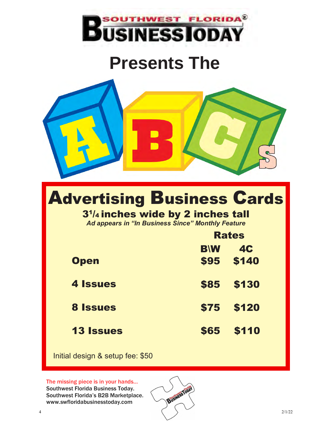

# **Presents The**



# Advertising Business Cards

#### 3<sup>1</sup> /4 inches wide by 2 inches tall

*Ad appears in "In Business Since" Monthly Feature*

|                  | <b>Rates</b> |           |  |
|------------------|--------------|-----------|--|
|                  | <b>BW</b>    | <b>4C</b> |  |
| <b>Open</b>      | \$95         | \$140     |  |
| <b>4 Issues</b>  | <b>\$85</b>  | \$130     |  |
| <b>8 Issues</b>  | \$75         | \$120     |  |
| <b>13 Issues</b> | <b>\$65</b>  | \$110     |  |

Initial design & setup fee: \$50

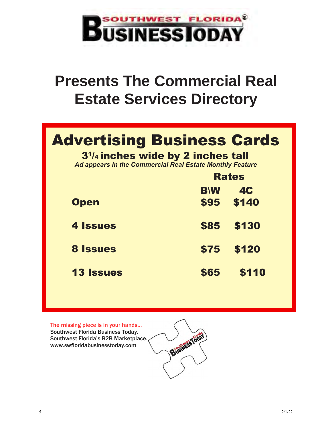

# **Presents The Commercial Real Estate Services Directory**

### Advertising Business Cards

3<sup>1</sup> /4 inches wide by 2 inches tall

*Ad appears in the Commercial Real Estate Monthly Feature*

|                  | <b>Rates</b> |           |  |
|------------------|--------------|-----------|--|
|                  | <b>BW</b>    | <b>4C</b> |  |
| <b>Open</b>      | <b>\$95</b>  | \$140     |  |
| <b>4 Issues</b>  | \$85         | \$130     |  |
| <b>8 Issues</b>  | \$75         | \$120     |  |
| <b>13 Issues</b> | \$65         | \$110     |  |

Business Tools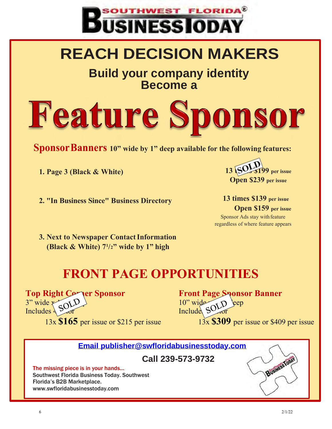

# **REACH DECISION MAKERS**

**Build your company identity Become a**

# **Feature Sponsor**

**SponsorBanners 10" wide by 1" deep available for the following features:**

**1. Page 3 (Black & White)**

**2. "In Business Since" Business Directory**

**199** per issue **Open \$239 per issue**

**13 times \$139 per issue Open \$159 per issue** Sponsor Ads stay with feature regardless of where feature appears

**3. Next to Newspaper ContactInformation (Black & White) 7 1 /2" wide by 1" high**

### **FRONT PAGE OPPORTUNITIES**

**Top Right Corner Sponsor**  $3"$  wide  $\times$  0  $0$ Includes  $\frac{1}{2}$  of 13x **\$165** per issue or \$215 per issue **Front Page Sponsor Banner**  $10"$  wide  $\bigcirc$   $D$   $\neq$   $ep$ Include Syror 13x **\$309** per issue or \$409 per issue

**[Email publisher@swfloridabusinesstoday.com](mailto:Email%20publisher@swfloridabusinesstoday.com)**

**Call 239-573-9732**

The missing piece is in your hands… Southwest Florida Business Today. Southwest Florida's B2B Marketplace. [www.swfloridabusinesstoday.com](http://www.swfloridabusinesstoday.com/)

Business Tobal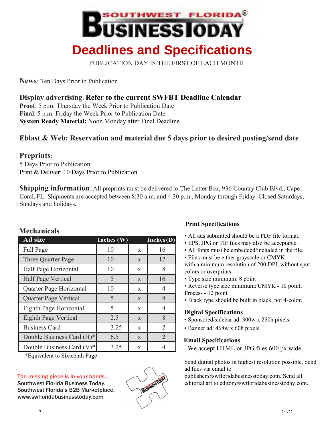

PUBLICATION DAY IS THE FIRST OF EACH MONTH

**News**: Ten Days Prior to Publication

**Display advertising**: **Refer to the current SWFBT Deadline Calendar**

**Proof**: 5 p.m. Thursday the Week Prior to Publication Date **Final**: 5 p.m. Friday the Week Prior to Publication Date **System Ready Material:** Noon Monday after Final Deadline

#### **Eblast & Web: Reservation and material due 5 days prior to desired posting/send date**

#### **Preprints**:

5 Days Prior to Publication Print & Deliver: 10 Days Prior to Publication

**Shipping information**: All preprints must be delivered to The Letter Box, 936 Country Club Blvd., Cape Coral, FL. Shipments are accepted between 8:30 a.m. and 4:30 p.m., Monday through Friday. Closed Saturdays, Sundays and holidays.

| Ad size                      | Inches (W) | Inches (D)   |                |  |
|------------------------------|------------|--------------|----------------|--|
| Full Page                    | 10         | $\mathbf{X}$ | 16             |  |
| Three Quarter Page           | 10         | X            | 12             |  |
| Half Page Horizontal         | 10         | X            | 8              |  |
| <b>Half Page Vertical</b>    | 5          | $\mathbf{X}$ | 16             |  |
| Quarter Page Horizontal      | 10         | X            | 4              |  |
| Quarter Page Vertical        | 5          | X            | 8              |  |
| Eighth Page Horizontal       | 5<br>X     |              | 4              |  |
| Eighth Page Vertical         | 2.5        | $\mathbf{X}$ | 8              |  |
| <b>Business Card</b>         | 3.25       | X            | $\overline{2}$ |  |
| Double Business Card (H)*    | 6.5        | $\mathbf{X}$ | $\overline{2}$ |  |
| Double Business Card $(V)^*$ | 3.25       | X            | 4              |  |

#### **Mechanicals**

\*Equivalent to Sixteenth Page

#### The missing piece is in your hands… Southwest Florida Business Today. Southwest Florida's B2B Marketplace. [www.swfloridabusinesstoday.com](http://www.swfloridabusinesstoday.com/)



#### **Print Specifications**

- All ads submitted should be a PDF file format.
- EPS, JPG or TIF files may also be acceptable.
- All fonts must be embedded/included in the file.
- Files must be either grayscale or CMYK with a minimum resolution of 200 DPI, without spot colors or overprints.
- Type size minimum: 8 point
- Reverse type size minimum: CMYK 10 point; Process - 12 point
- Black type should be built in black, not 4-color.

#### **Digital Specifications**

- Sponsored/sidebar ad: 300w x 250h pixels.
- Banner ad: 468w x 60h pixels.

#### **Email Specifications**

We accept HTML or JPG files 600 px wide

Send digital photos in highest resolution possible. Send ad files via email to

[publisher@swfloridabusinesstoday.com. S](mailto:publisher@swfloridabusinesstoday.com)end all editorial art to editor@swfloridabusinesstoday.com.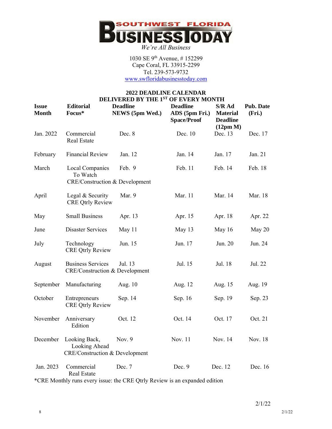

1030 SE 9th Avenue, # 152299 Cape Coral, FL 33915-2299 Tel. 239-573-9732 [www.swfloridabusinesstoday.com](http://www.swfloridabusinesstoday.com/)

#### **2022 DEADLINE CALENDAR DELIVERED BY THE 1ST OF EVERY MONTH**

| <b>Issue</b><br><b>Month</b> | <b>Editorial</b><br>Focus*                                                      | <b>Deadline</b><br>NEWS (5pm Wed.)                                         | <b>Deadline</b><br>ADS (5pm Fri.)<br><b>Space/Proof</b> | S/R Ad<br><b>Material</b><br><b>Deadline</b><br>(12pm M) | <b>Pub. Date</b><br>(Fri.) |
|------------------------------|---------------------------------------------------------------------------------|----------------------------------------------------------------------------|---------------------------------------------------------|----------------------------------------------------------|----------------------------|
| Jan. 2022                    | Commercial<br><b>Real Estate</b>                                                | Dec. 8                                                                     | Dec. 10                                                 | Dec. 13                                                  | Dec. 17                    |
| February                     | <b>Financial Review</b>                                                         | Jan. 12                                                                    | Jan. 14                                                 | Jan. 17                                                  | Jan. 21                    |
| March                        | <b>Local Companies</b><br>To Watch<br><b>CRE/Construction &amp; Development</b> | Feb. 9                                                                     | Feb. 11                                                 | Feb. 14                                                  | Feb. 18                    |
| April                        | Legal & Security<br><b>CRE Qtrly Review</b>                                     | Mar. 9                                                                     | Mar. 11                                                 | Mar. 14                                                  | Mar. 18                    |
| May                          | <b>Small Business</b>                                                           | Apr. 13                                                                    | Apr. 15                                                 | Apr. 18                                                  | Apr. 22                    |
| June                         | <b>Disaster Services</b>                                                        | May 11                                                                     | May 13                                                  | May 16                                                   | May 20                     |
| July                         | Technology<br><b>CRE Qtrly Review</b>                                           | Jun. 15                                                                    | Jun. 17                                                 | Jun. 20                                                  | Jun. 24                    |
| August                       | <b>Business Services</b><br><b>CRE/Construction &amp; Development</b>           | Jul. 13                                                                    | Jul. 15                                                 | Jul. 18                                                  | Jul. 22                    |
| September                    | Manufacturing                                                                   | Aug. 10                                                                    | Aug. 12                                                 | Aug. 15                                                  | Aug. 19                    |
| October                      | Entrepreneurs<br><b>CRE Qtrly Review</b>                                        | Sep. 14                                                                    | Sep. 16                                                 | Sep. 19                                                  | Sep. 23                    |
| November                     | Anniversary<br>Edition                                                          | Oct. 12                                                                    | Oct. 14                                                 | Oct. 17                                                  | Oct. 21                    |
| December                     | Looking Back,<br>Looking Ahead<br><b>CRE/Construction &amp; Development</b>     | Nov. $9$                                                                   | Nov. 11                                                 | Nov. 14                                                  | Nov. 18                    |
| Jan. 2023                    | Commercial<br><b>Real Estate</b>                                                | Dec. 7                                                                     | Dec. 9                                                  | Dec. 12                                                  | Dec. 16                    |
|                              |                                                                                 | *CRE Monthly runs every issue: the CRE Qtrly Review is an expanded edition |                                                         |                                                          |                            |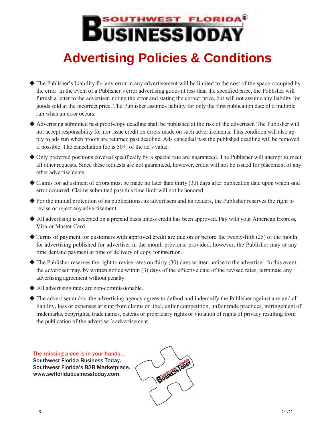## **OUTHWEST FLORIDA® DUSINESSIODA Advertising Policies & Conditions**

- ◆ The Publisher's Liability for any error in any advertisement will be limited to the cost of the space occupied by the error. In the event of a Publisher's error advertising goods at less than the specified price, the Publisher will furnish a letter to the advertiser, noting the error and stating the correct price, but will not assume any liability for goods sold at the incorrect price. The Publisher assumes liability for only the first publication date of a multiple run when an error occurs.
- ◆ Advertising submitted past proof-copy deadline shall be published at the risk of the advertiser. The Publisher will not accept responsibility for nor issue credit on errors made on such advertisements. This condition will also apply to ads run when proofs are returned past deadline. Ads cancelled past the published deadline will be removed if possible. The cancellation fee is 50% of the ad's value.
- ◆ Only preferred positions covered specifically by a special rate are guaranteed. The Publisher will attempt to meet all other requests. Since these requests are not guaranteed, however, credit will not be issued for placement of any other advertisements.
- $\blacklozenge$  Claims for adjustment of errors must be made no later than thirty (30) days after publication date upon which said error occurred. Claims submitted past this time limit will not be honored.
- ◆ For the mutual protection of its publications, its advertisers and its readers, the Publisher reserves the right to revise or reject any advertisement.
- ◆ All advertising is accepted on a prepaid basis unless credit has been approved. Pay with your American Express, Visa or Master Card.
- ◆ Terms of payment for customers with approved credit are due on or before the twenty-fifth (25) of the month for advertising published for advertiser in the month previous; provided, however, the Publisher may at any time demand payment at time of delivery of copy for insertion.
- $\blacklozenge$  The Publisher reserves the right to revise rates on thirty (30) days written notice to the advertiser. In this event, the advertiser may, by written notice within (3) days of the effective date of the revised rates, terminate any advertising agreement without penalty.
- ◆ All advertising rates are non-commissionable.
- ◆ The advertiser and/or the advertising agency agrees to defend and indemnify the Publisher against any and all liability, loss or expenses arising from claims of libel, unfair competition, unfair trade practices, infringement of trademarks, copyrights, trade names, patents or proprietary rights or violation of rights of privacy resulting from the publication of the advertiser's advertisement.

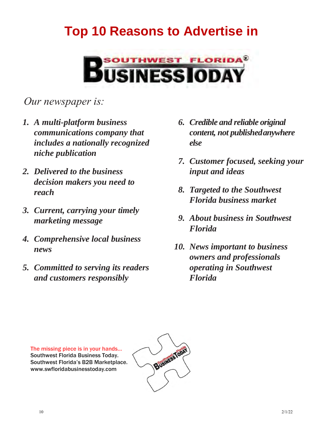### **Top 10 Reasons to Advertise in**



#### *Our newspaper is:*

- *1. A multi-platform business communications company that includes a nationally recognized niche publication*
- *2. Delivered to the business decision makers you need to reach*
- *3. Current, carrying your timely marketing message*
- *4. Comprehensive local business news*
- *5. Committed to serving its readers and customers responsibly*
- *6. Credible and reliable original content, not publishedanywhere else*
- *7. Customer focused, seeking your input and ideas*
- *8. Targeted to the Southwest Florida business market*
- *9. About business in Southwest Florida*
- *10. News important to business owners and professionals operating in Southwest Florida*

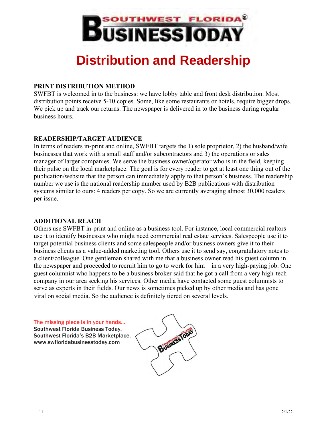

### **Distribution and Readership**

#### **PRINT DISTRIBUTION METHOD**

SWFBT is welcomed in to the business: we have lobby table and front desk distribution. Most distribution points receive 5-10 copies. Some, like some restaurants or hotels, require bigger drops. We pick up and track our returns. The newspaper is delivered in to the business during regular business hours.

#### **READERSHIP/TARGET AUDIENCE**

In terms of readers in-print and online, SWFBT targets the 1) sole proprietor, 2) the husband/wife businesses that work with a small staff and/or subcontractors and 3) the operations or sales manager of larger companies. We serve the business owner/operator who is in the field, keeping their pulse on the local marketplace. The goal is for every reader to get at least one thing out of the publication/website that the person can immediately apply to that person's business. The readership number we use is the national readership number used by B2B publications with distribution systems similar to ours: 4 readers per copy. So we are currently averaging almost 30,000 readers per issue.

#### **ADDITIONAL REACH**

Others use SWFBT in-print and online as a business tool. For instance, local commercial realtors use it to identify businesses who might need commercial real estate services. Salespeople use it to target potential business clients and some salespeople and/or business owners give it to their business clients as a value-added marketing tool. Others use it to send say, congratulatory notes to a client/colleague. One gentleman shared with me that a business owner read his guest column in the newspaper and proceeded to recruit him to go to work for him—in a very high-paying job. One guest columnist who happens to be a business broker said that he got a call from a very high-tech company in our area seeking his services. Other media have contacted some guest columnists to serve as experts in their fields. Our news is sometimes picked up by other media and has gone viral on social media. So the audience is definitely tiered on several levels.